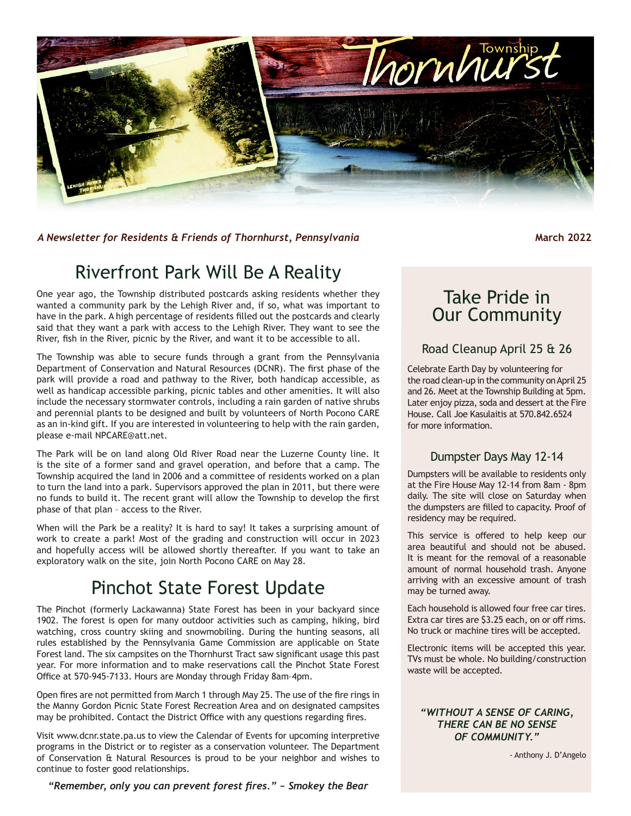

*A Newsletter for Residents & Friends of Thornhurst, Pennsylvania* Mathematic March 2022

### Riverfront Park Will Be A Reality

One year ago, the Township distributed postcards asking residents whether they wanted a community park by the Lehigh River and, if so, what was important to have in the park. A high percentage of residents filled out the postcards and clearly said that they want a park with access to the Lehigh River. They want to see the River, fish in the River, picnic by the River, and want it to be accessible to all.

The Township was able to secure funds through a grant from the Pennsylvania Department of Conservation and Natural Resources (DCNR). The first phase of the park will provide a road and pathway to the River, both handicap accessible, as well as handicap accessible parking, picnic tables and other amenities. It will also include the necessary stormwater controls, including a rain garden of native shrubs and perennial plants to be designed and built by volunteers of North Pocono CARE as an in-kind gift. If you are interested in volunteering to help with the rain garden, please e-mail NPCARE@att.net.

The Park will be on land along Old River Road near the Luzerne County line. It is the site of a former sand and gravel operation, and before that a camp. The Township acquired the land in 2006 and a committee of residents worked on a plan to turn the land into a park. Supervisors approved the plan in 2011, but there were no funds to build it. The recent grant will allow the Township to develop the first phase of that plan – access to the River.

When will the Park be a reality? It is hard to say! It takes a surprising amount of work to create a park! Most of the grading and construction will occur in 2023 and hopefully access will be allowed shortly thereafter. If you want to take an exploratory walk on the site, join North Pocono CARE on May 28.

## Pinchot State Forest Update

The Pinchot (formerly Lackawanna) State Forest has been in your backyard since 1902. The forest is open for many outdoor activities such as camping, hiking, bird watching, cross country skiing and snowmobiling. During the hunting seasons, all rules established by the Pennsylvania Game Commission are applicable on State Forest land. The six campsites on the Thornhurst Tract saw significant usage this past year. For more information and to make reservations call the Pinchot State Forest Office at 570-945-7133. Hours are Monday through Friday 8am–4pm.

Open fires are not permitted from March 1 through May 25. The use of the fire rings in the Manny Gordon Picnic State Forest Recreation Area and on designated campsites may be prohibited. Contact the District Office with any questions regarding fires.

Visit www.dcnr.state.pa.us to view the Calendar of Events for upcoming interpretive programs in the District or to register as a conservation volunteer. The Department of Conservation & Natural Resources is proud to be your neighbor and wishes to continue to foster good relationships.

*"Remember, only you can prevent forest fires." ~ Smokey the Bear*

### Take Pride in Our Community

#### Road Cleanup April 25 & 26

Celebrate Earth Day by volunteering for the road clean-up in the community on April 25 and 26. Meet at the Township Building at 5pm. Later enjoy pizza, soda and dessert at the Fire House. Call Joe Kasulaitis at 570.842.6524 for more information.

#### Dumpster Days May 12-14

Dumpsters will be available to residents only at the Fire House May 12-14 from 8am - 8pm daily. The site will close on Saturday when the dumpsters are filled to capacity. Proof of residency may be required.

This service is offered to help keep our area beautiful and should not be abused. It is meant for the removal of a reasonable amount of normal household trash. Anyone arriving with an excessive amount of trash may be turned away.

Each household is allowed four free car tires. Extra car tires are \$3.25 each, on or off rims. No truck or machine tires will be accepted.

Electronic items will be accepted this year. TVs must be whole. No building/construction waste will be accepted.

#### *"WITHOUT A SENSE OF CARING, THERE CAN BE NO SENSE OF COMMUNITY."*

- Anthony J. D'Angelo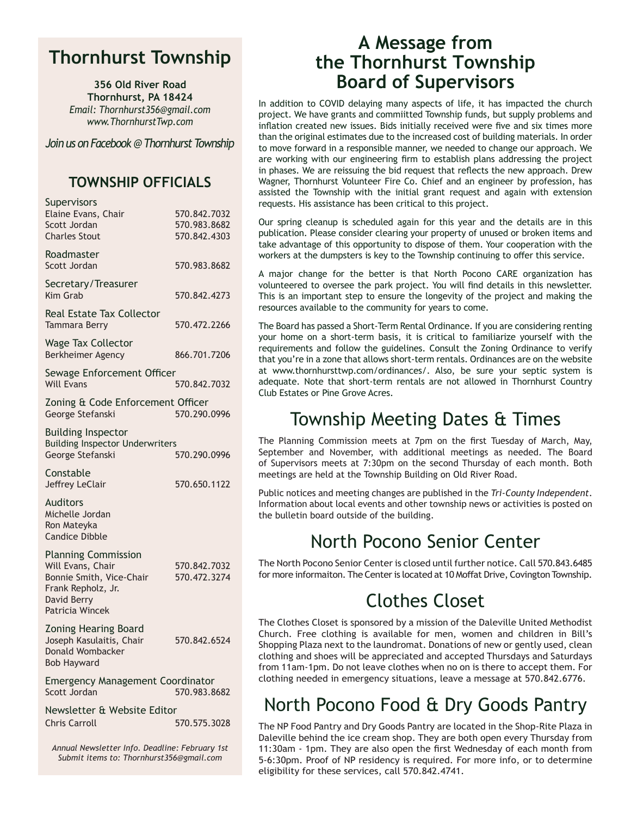#### **Thornhurst Township**

**356 Old River Road Thornhurst, PA 18424** *Email: Thornhurst356@gmail.com www.ThornhurstTwp.com*

*Join us on Facebook @ Thornhurst Township*

#### **TOWNSHIP OFFICIALS**

| Supervisors<br>Elaine Evans, Chair<br>Scott Jordan<br><b>Charles Stout</b>                                                          | 570.842.7032<br>570.983.8682<br>570.842.4303 |  |
|-------------------------------------------------------------------------------------------------------------------------------------|----------------------------------------------|--|
| Roadmaster<br>Scott Jordan                                                                                                          | 570.983.8682                                 |  |
| Secretary/Treasurer<br>Kim Grab                                                                                                     | 570.842.4273                                 |  |
| Real Estate Tax Collector<br>Tammara Berry                                                                                          | 570.472.2266                                 |  |
| <b>Wage Tax Collector</b><br>Berkheimer Agency                                                                                      | 866.701.7206                                 |  |
| Sewage Enforcement Officer<br><b>Will Evans</b>                                                                                     | 570.842.7032                                 |  |
| Zoning & Code Enforcement Officer<br>George Stefanski                                                                               | 570.290.0996                                 |  |
| <b>Building Inspector</b><br><b>Building Inspector Underwriters</b><br>George Stefanski                                             | 570.290.0996                                 |  |
| Constable<br>Jeffrey LeClair                                                                                                        | 570.650.1122                                 |  |
| Auditors<br>Michelle Jordan<br>Ron Mateyka<br><b>Candice Dibble</b>                                                                 |                                              |  |
| <b>Planning Commission</b><br>Will Evans, Chair<br>Bonnie Smith, Vice-Chair<br>Frank Repholz, Jr.<br>David Berry<br>Patricia Wincek | 570.842.7032<br>570.472.3274                 |  |
| Zoning Hearing Board<br>Joseph Kasulaitis, Chair<br>Donald Wombacker<br><b>Bob Hayward</b>                                          | 570.842.6524                                 |  |
| <b>Emergency Management Coordinator</b><br>Scott Jordan                                                                             | 570.983.8682                                 |  |
| Newsletter & Website Editor<br><b>Chris Carroll</b>                                                                                 | 570.575.3028                                 |  |

*Annual Newsletter Info. Deadline: February 1st Submit items to: Thornhurst356@gmail.com*

#### **A Message from the Thornhurst Township Board of Supervisors**

In addition to COVID delaying many aspects of life, it has impacted the church project. We have grants and commiitted Township funds, but supply problems and inflation created new issues. Bids initially received were five and six times more than the original estimates due to the increased cost of building materials. In order to move forward in a responsible manner, we needed to change our approach. We are working with our engineering firm to establish plans addressing the project in phases. We are reissuing the bid request that reflects the new approach. Drew Wagner, Thornhurst Volunteer Fire Co. Chief and an engineer by profession, has assisted the Township with the initial grant request and again with extension requests. His assistance has been critical to this project.

Our spring cleanup is scheduled again for this year and the details are in this publication. Please consider clearing your property of unused or broken items and take advantage of this opportunity to dispose of them. Your cooperation with the workers at the dumpsters is key to the Township continuing to offer this service.

A major change for the better is that North Pocono CARE organization has volunteered to oversee the park project. You will find details in this newsletter. This is an important step to ensure the longevity of the project and making the resources available to the community for years to come.

The Board has passed a Short-Term Rental Ordinance. If you are considering renting your home on a short-term basis, it is critical to familiarize yourself with the requirements and follow the guidelines. Consult the Zoning Ordinance to verify that you're in a zone that allows short-term rentals. Ordinances are on the website at www.thornhursttwp.com/ordinances/. Also, be sure your septic system is adequate. Note that short-term rentals are not allowed in Thornhurst Country Club Estates or Pine Grove Acres.

## Township Meeting Dates & Times

The Planning Commission meets at 7pm on the first Tuesday of March, May, September and November, with additional meetings as needed. The Board of Supervisors meets at 7:30pm on the second Thursday of each month. Both meetings are held at the Township Building on Old River Road.

Public notices and meeting changes are published in the *Tri-County Independent*. Information about local events and other township news or activities is posted on the bulletin board outside of the building.

## North Pocono Senior Center

The North Pocono Senior Center is closed until further notice. Call 570.843.6485 for more informaiton. The Center is located at 10 Moffat Drive, Covington Township.

## Clothes Closet

The Clothes Closet is sponsored by a mission of the Daleville United Methodist Church. Free clothing is available for men, women and children in Bill's Shopping Plaza next to the laundromat. Donations of new or gently used, clean clothing and shoes will be appreciated and accepted Thursdays and Saturdays from 11am-1pm. Do not leave clothes when no on is there to accept them. For clothing needed in emergency situations, leave a message at 570.842.6776.

## North Pocono Food & Dry Goods Pantry

The NP Food Pantry and Dry Goods Pantry are located in the Shop-Rite Plaza in Daleville behind the ice cream shop. They are both open every Thursday from 11:30am - 1pm. They are also open the first Wednesday of each month from 5-6:30pm. Proof of NP residency is required. For more info, or to determine eligibility for these services, call 570.842.4741.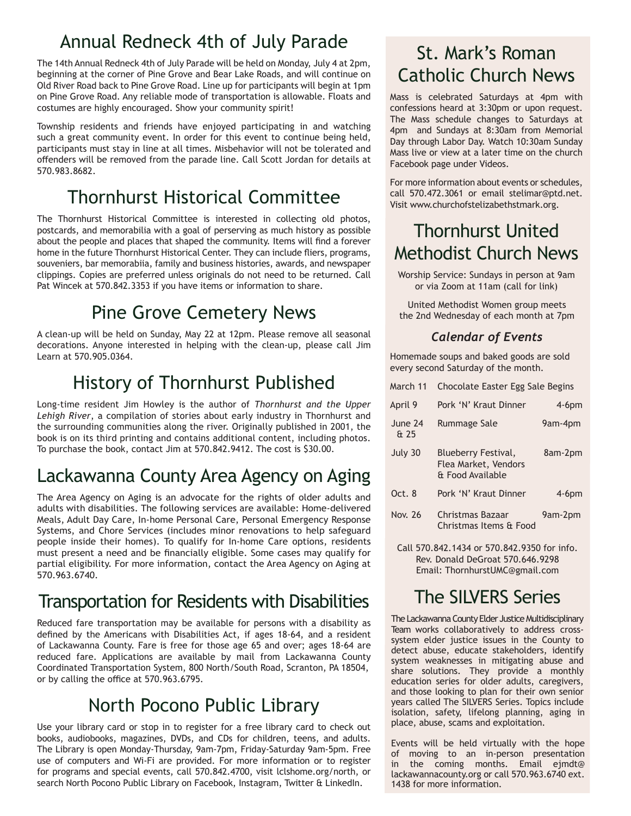## Annual Redneck 4th of July Parade

The 14th Annual Redneck 4th of July Parade will be held on Monday, July 4 at 2pm, beginning at the corner of Pine Grove and Bear Lake Roads, and will continue on Old River Road back to Pine Grove Road. Line up for participants will begin at 1pm on Pine Grove Road. Any reliable mode of transportation is allowable. Floats and costumes are highly encouraged. Show your community spirit!

Township residents and friends have enjoyed participating in and watching such a great community event. In order for this event to continue being held, participants must stay in line at all times. Misbehavior will not be tolerated and offenders will be removed from the parade line. Call Scott Jordan for details at 570.983.8682.

# Thornhurst Historical Committee

The Thornhurst Historical Committee is interested in collecting old photos, postcards, and memorabilia with a goal of perserving as much history as possible about the people and places that shaped the community. Items will find a forever home in the future Thornhurst Historical Center. They can include fliers, programs, souveniers, bar memorabiia, family and business histories, awards, and newspaper clippings. Copies are preferred unless originals do not need to be returned. Call Pat Wincek at 570.842.3353 if you have items or information to share.

# Pine Grove Cemetery News

A clean-up will be held on Sunday, May 22 at 12pm. Please remove all seasonal decorations. Anyone interested in helping with the clean-up, please call Jim Learn at 570.905.0364.

# History of Thornhurst Published

Long-time resident Jim Howley is the author of *Thornhurst and the Upper Lehigh River*, a compilation of stories about early industry in Thornhurst and the surrounding communities along the river. Originally published in 2001, the book is on its third printing and contains additional content, including photos. To purchase the book, contact Jim at 570.842.9412. The cost is \$30.00.

# Lackawanna County Area Agency on Aging

The Area Agency on Aging is an advocate for the rights of older adults and adults with disabilities. The following services are available: Home-delivered Meals, Adult Day Care, In-home Personal Care, Personal Emergency Response Systems, and Chore Services (includes minor renovations to help safeguard people inside their homes). To qualify for In-home Care options, residents must present a need and be financially eligible. Some cases may qualify for partial eligibility. For more information, contact the Area Agency on Aging at 570.963.6740.

## Transportation for Residents with Disabilities

Reduced fare transportation may be available for persons with a disability as defined by the Americans with Disabilities Act, if ages 18-64, and a resident of Lackawanna County. Fare is free for those age 65 and over; ages 18-64 are reduced fare. Applications are available by mail from Lackawanna County Coordinated Transportation System, 800 North/South Road, Scranton, PA 18504, or by calling the office at 570.963.6795.

## North Pocono Public Library

Use your library card or stop in to register for a free library card to check out books, audiobooks, magazines, DVDs, and CDs for children, teens, and adults. The Library is open Monday-Thursday, 9am-7pm, Friday-Saturday 9am-5pm. Free use of computers and Wi-Fi are provided. For more information or to register for programs and special events, call 570.842.4700, visit lclshome.org/north, or search North Pocono Public Library on Facebook, Instagram, Twitter & LinkedIn.

## St. Mark's Roman Catholic Church News

Mass is celebrated Saturdays at 4pm with confessions heard at 3:30pm or upon request. The Mass schedule changes to Saturdays at 4pm and Sundays at 8:30am from Memorial Day through Labor Day. Watch 10:30am Sunday Mass live or view at a later time on the church Facebook page under Videos.

For more information about events or schedules, call 570.472.3061 or email stelimar@ptd.net. Visit www.churchofstelizabethstmark.org.

## Thornhurst United Methodist Church News

Worship Service: Sundays in person at 9am or via Zoom at 11am (call for link)

United Methodist Women group meets the 2nd Wednesday of each month at 7pm

#### *Calendar of Events*

Homemade soups and baked goods are sold every second Saturday of the month.

| March 11        | Chocolate Easter Egg Sale Begins                                |          |
|-----------------|-----------------------------------------------------------------|----------|
| April 9         | Pork 'N' Kraut Dinner                                           | $4-6$ pm |
| June 24<br>& 25 | Rummage Sale                                                    | 9am-4pm  |
| July 30         | Blueberry Festival,<br>Flea Market, Vendors<br>& Food Available | 8am-2pm  |
| Oct.8           | Pork 'N' Kraut Dinner                                           | $4-6$ pm |
| Nov. 26         | Christmas Bazaar<br>Christmas Items & Food                      | 9am-2pm  |

Call 570.842.1434 or 570.842.9350 for info. Rev. Donald DeGroat 570.646.9298 Email: ThornhurstUMC@gmail.com

# The SILVERS Series

The Lackawanna County Elder Justice Multidisciplinary Team works collaboratively to address crosssystem elder justice issues in the County to detect abuse, educate stakeholders, identify system weaknesses in mitigating abuse and share solutions. They provide a monthly education series for older adults, caregivers, and those looking to plan for their own senior years called The SILVERS Series. Topics include isolation, safety, lifelong planning, aging in place, abuse, scams and exploitation.

Events will be held virtually with the hope of moving to an in-person presentation in the coming months. Email ejmdt@ lackawannacounty.org or call 570.963.6740 ext. 1438 for more information.